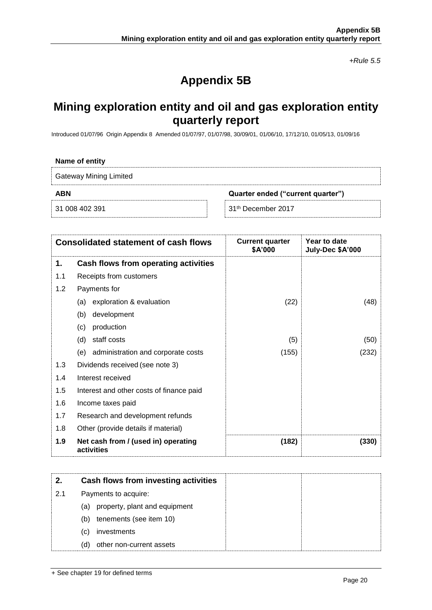*+Rule 5.5*

# **Appendix 5B**

## **Mining exploration entity and oil and gas exploration entity quarterly report**

Introduced 01/07/96 Origin Appendix 8 Amended 01/07/97, 01/07/98, 30/09/01, 01/06/10, 17/12/10, 01/05/13, 01/09/16

### **Name of entity**

Gateway Mining Limited

**ABN Quarter ended ("current quarter")**

31 008 402 391 **31th December 2017** 

| <b>Consolidated statement of cash flows</b> |                                                   | <b>Current quarter</b><br>\$A'000 | Year to date<br>July-Dec \$A'000 |
|---------------------------------------------|---------------------------------------------------|-----------------------------------|----------------------------------|
| 1.                                          | Cash flows from operating activities              |                                   |                                  |
| 1.1                                         | Receipts from customers                           |                                   |                                  |
| 1.2                                         | Payments for                                      |                                   |                                  |
|                                             | exploration & evaluation<br>(a)                   | (22)                              | (48)                             |
|                                             | development<br>(b)                                |                                   |                                  |
|                                             | production<br>(c)                                 |                                   |                                  |
|                                             | staff costs<br>(d)                                | (5)                               | (50)                             |
|                                             | (e) administration and corporate costs            | (155)                             | (232)                            |
| 1.3                                         | Dividends received (see note 3)                   |                                   |                                  |
| 1.4                                         | Interest received                                 |                                   |                                  |
| 1.5                                         | Interest and other costs of finance paid          |                                   |                                  |
| 1.6                                         | Income taxes paid                                 |                                   |                                  |
| 1.7                                         | Research and development refunds                  |                                   |                                  |
| 1.8                                         | Other (provide details if material)               |                                   |                                  |
| 1.9                                         | Net cash from / (used in) operating<br>activities | (182)                             | (330)                            |

|     | Cash flows from investing activities |
|-----|--------------------------------------|
| 2.1 | Payments to acquire:                 |
|     | (a) property, plant and equipment    |
|     | tenements (see item 10)<br>(b)       |
|     | investments<br>(c)                   |
|     | other non-current assets<br>(d)      |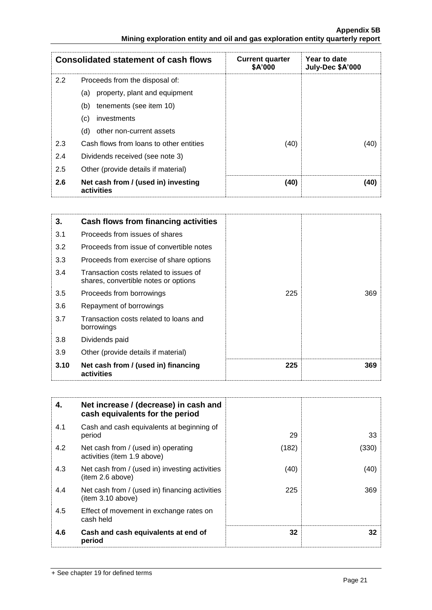**Appendix 5B Mining exploration entity and oil and gas exploration entity quarterly report**

| <b>Consolidated statement of cash flows</b> |                                                   | <b>Current quarter</b><br>\$A'000 | Year to date<br>July-Dec \$A'000 |
|---------------------------------------------|---------------------------------------------------|-----------------------------------|----------------------------------|
| 2.2                                         | Proceeds from the disposal of:                    |                                   |                                  |
|                                             | property, plant and equipment<br>(a)              |                                   |                                  |
|                                             | tenements (see item 10)<br>(b)                    |                                   |                                  |
|                                             | (c)<br>investments                                |                                   |                                  |
|                                             | other non-current assets<br>(d)                   |                                   |                                  |
| 2.3                                         | Cash flows from loans to other entities           | (40)                              | (40)                             |
| 2.4                                         | Dividends received (see note 3)                   |                                   |                                  |
| 2.5                                         | Other (provide details if material)               |                                   |                                  |
| 2.6                                         | Net cash from / (used in) investing<br>activities | (40)                              | (40)                             |

| 3.   | Cash flows from financing activities                                           |     |     |
|------|--------------------------------------------------------------------------------|-----|-----|
| 3.1  | Proceeds from issues of shares                                                 |     |     |
| 3.2  | Proceeds from issue of convertible notes                                       |     |     |
| 3.3  | Proceeds from exercise of share options                                        |     |     |
| 3.4  | Transaction costs related to issues of<br>shares, convertible notes or options |     |     |
| 3.5  | Proceeds from borrowings                                                       | 225 | 369 |
| 3.6  | Repayment of borrowings                                                        |     |     |
| 3.7  | Transaction costs related to loans and<br>borrowings                           |     |     |
| 3.8  | Dividends paid                                                                 |     |     |
| 3.9  | Other (provide details if material)                                            |     |     |
| 3.10 | Net cash from / (used in) financing<br>activities                              | 225 | 369 |

| 4.  | Net increase / (decrease) in cash and<br>cash equivalents for the period |       |       |
|-----|--------------------------------------------------------------------------|-------|-------|
| 4.1 | Cash and cash equivalents at beginning of<br>period                      | 29    | 33    |
| 4.2 | Net cash from / (used in) operating<br>activities (item 1.9 above)       | (182) | (330) |
| 4.3 | Net cash from / (used in) investing activities<br>(item 2.6 above)       | (40)  | (40)  |
| 4.4 | Net cash from / (used in) financing activities<br>(item 3.10 above)      | 225   | 369   |
| 4.5 | Effect of movement in exchange rates on<br>cash held                     |       |       |
| 4.6 | Cash and cash equivalents at end of<br>period                            | 32    | 32    |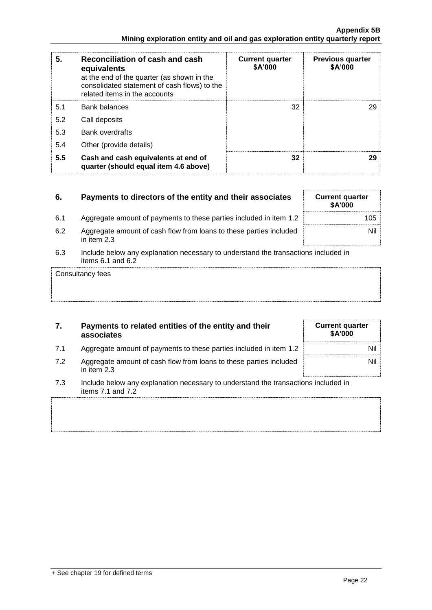| 5.  | Reconciliation of cash and cash<br>equivalents<br>at the end of the quarter (as shown in the<br>consolidated statement of cash flows) to the<br>related items in the accounts | <b>Current quarter</b><br>\$A'000 | <b>Previous quarter</b><br>\$A'000 |
|-----|-------------------------------------------------------------------------------------------------------------------------------------------------------------------------------|-----------------------------------|------------------------------------|
| 5.1 | <b>Bank balances</b>                                                                                                                                                          | 32                                | 29                                 |
| 5.2 | Call deposits                                                                                                                                                                 |                                   |                                    |
| 5.3 | Bank overdrafts                                                                                                                                                               |                                   |                                    |
| 5.4 | Other (provide details)                                                                                                                                                       |                                   |                                    |
| 5.5 | Cash and cash equivalents at end of<br>quarter (should equal item 4.6 above)                                                                                                  | 32                                | 29                                 |

| 6.  | Payments to directors of the entity and their associates                                                    | <b>Current quarter</b><br><b>\$A'000</b> |
|-----|-------------------------------------------------------------------------------------------------------------|------------------------------------------|
| 6.1 | Aggregate amount of payments to these parties included in item 1.2                                          | 105                                      |
| 6.2 | Aggregate amount of cash flow from loans to these parties included<br>in item $2.3$                         | Nil                                      |
| 6.3 | Include below any explanation necessary to understand the transactions included in<br>items $6.1$ and $6.2$ |                                          |
|     | Consultancy fees                                                                                            |                                          |

| 7.  | Payments to related entities of the entity and their<br>associates                                          | <b>Current quarter</b><br><b>\$A'000</b> |
|-----|-------------------------------------------------------------------------------------------------------------|------------------------------------------|
| 7.1 | Aggregate amount of payments to these parties included in item 1.2                                          | Nil                                      |
| 7.2 | Aggregate amount of cash flow from loans to these parties included<br>in item $2.3$                         | Nil                                      |
| 7.3 | Include below any explanation necessary to understand the transactions included in<br>items $7.1$ and $7.2$ |                                          |
|     |                                                                                                             |                                          |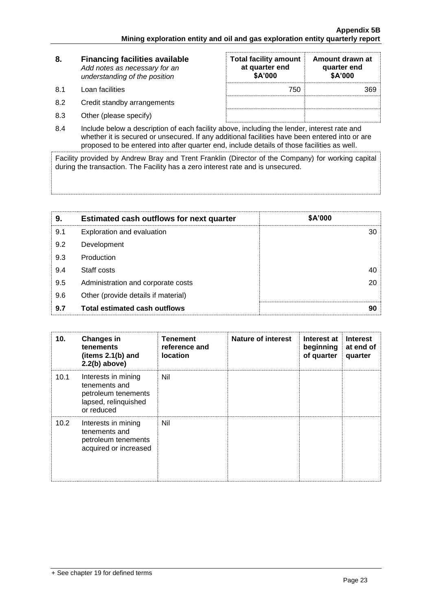| 8.  | <b>Financing facilities available</b><br>Add notes as necessary for an<br>understanding of the position | <b>Total facility amount</b><br>at quarter end<br>\$A'000 | Amount drawn at<br>quarter end<br>\$A'000 |
|-----|---------------------------------------------------------------------------------------------------------|-----------------------------------------------------------|-------------------------------------------|
| 8.1 | Loan facilities                                                                                         | 750                                                       | 369                                       |
| 8.2 | Credit standby arrangements                                                                             |                                                           |                                           |
| 8.3 | Other (please specify)                                                                                  |                                                           |                                           |

8.4 Include below a description of each facility above, including the lender, interest rate and whether it is secured or unsecured. If any additional facilities have been entered into or are proposed to be entered into after quarter end, include details of those facilities as well.

Facility provided by Andrew Bray and Trent Franklin (Director of the Company) for working capital during the transaction. The Facility has a zero interest rate and is unsecured.

| 9.  | <b>Estimated cash outflows for next quarter</b> | \$A'000 |
|-----|-------------------------------------------------|---------|
| 9.1 | Exploration and evaluation                      | 30      |
| 9.2 | Development                                     |         |
| 9.3 | Production                                      |         |
| 9.4 | Staff costs                                     | 40      |
| 9.5 | Administration and corporate costs              | 20      |
| 9.6 | Other (provide details if material)             |         |
| 9.7 | <b>Total estimated cash outflows</b>            | 90      |

| 10.               | <b>Changes in</b><br><b>tenements</b><br>(items $2.1(b)$ and<br>$2.2(b)$ above)                   | <b>Tenement</b><br>reference and<br><b>location</b> | Nature of interest | Interest at<br>beginning<br>of quarter | <b>Interest</b><br>at end of<br>quarter |
|-------------------|---------------------------------------------------------------------------------------------------|-----------------------------------------------------|--------------------|----------------------------------------|-----------------------------------------|
| 10.1              | Interests in mining<br>tenements and<br>petroleum tenements<br>lapsed, relinquished<br>or reduced | Nil                                                 |                    |                                        |                                         |
| 10.2 <sub>1</sub> | Interests in mining<br>tenements and<br>petroleum tenements<br>acquired or increased              | Nil                                                 |                    |                                        |                                         |